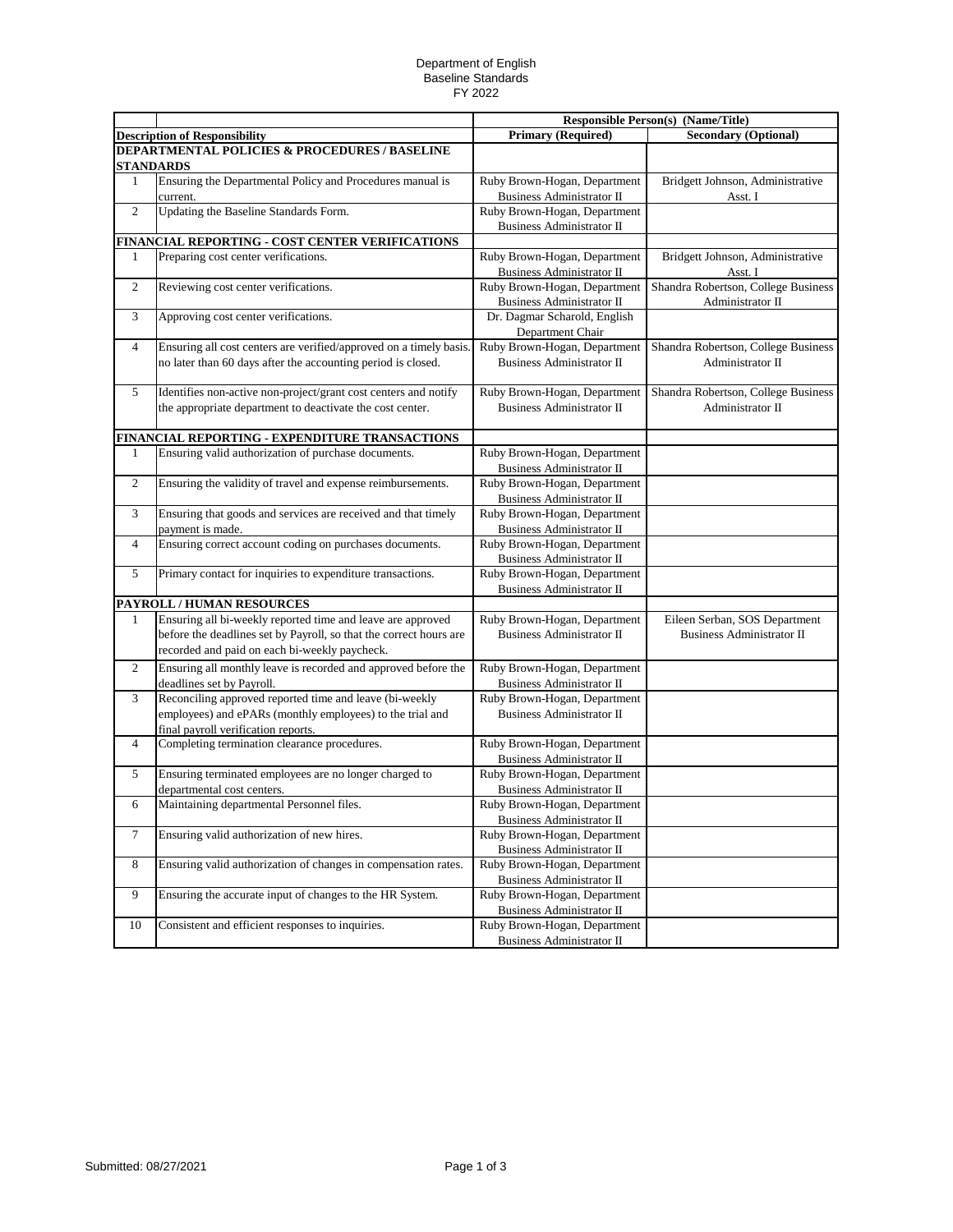## Department of English Baseline Standards FY 2022

|                |                                                                    | <b>Responsible Person(s) (Name/Title)</b> |                                     |
|----------------|--------------------------------------------------------------------|-------------------------------------------|-------------------------------------|
|                | <b>Description of Responsibility</b>                               | <b>Primary (Required)</b>                 | <b>Secondary (Optional)</b>         |
|                | <b>DEPARTMENTAL POLICIES &amp; PROCEDURES / BASELINE</b>           |                                           |                                     |
|                | <b>STANDARDS</b>                                                   |                                           |                                     |
| $\mathbf{1}$   | Ensuring the Departmental Policy and Procedures manual is          | Ruby Brown-Hogan, Department              | Bridgett Johnson, Administrative    |
|                | current.                                                           | <b>Business Administrator II</b>          | Asst. I                             |
| $\overline{2}$ | Updating the Baseline Standards Form.                              | Ruby Brown-Hogan, Department              |                                     |
|                |                                                                    | <b>Business Administrator II</b>          |                                     |
|                | FINANCIAL REPORTING - COST CENTER VERIFICATIONS                    |                                           |                                     |
| 1              | Preparing cost center verifications.                               | Ruby Brown-Hogan, Department              | Bridgett Johnson, Administrative    |
|                |                                                                    | <b>Business Administrator II</b>          | Asst. I                             |
| $\overline{c}$ | Reviewing cost center verifications.                               | Ruby Brown-Hogan, Department              | Shandra Robertson, College Business |
|                |                                                                    | <b>Business Administrator II</b>          | Administrator II                    |
| 3              | Approving cost center verifications.                               | Dr. Dagmar Scharold, English              |                                     |
|                |                                                                    | Department Chair                          |                                     |
| 4              | Ensuring all cost centers are verified/approved on a timely basis. | Ruby Brown-Hogan, Department              | Shandra Robertson, College Business |
|                | no later than 60 days after the accounting period is closed.       | <b>Business Administrator II</b>          | Administrator II                    |
|                |                                                                    |                                           |                                     |
| 5              | Identifies non-active non-project/grant cost centers and notify    | Ruby Brown-Hogan, Department              | Shandra Robertson, College Business |
|                | the appropriate department to deactivate the cost center.          | <b>Business Administrator II</b>          | Administrator II                    |
|                |                                                                    |                                           |                                     |
|                | FINANCIAL REPORTING - EXPENDITURE TRANSACTIONS                     |                                           |                                     |
| 1              | Ensuring valid authorization of purchase documents.                | Ruby Brown-Hogan, Department              |                                     |
|                |                                                                    | <b>Business Administrator II</b>          |                                     |
| 2              | Ensuring the validity of travel and expense reimbursements.        | Ruby Brown-Hogan, Department              |                                     |
|                |                                                                    | <b>Business Administrator II</b>          |                                     |
| 3              | Ensuring that goods and services are received and that timely      | Ruby Brown-Hogan, Department              |                                     |
|                | payment is made.                                                   | <b>Business Administrator II</b>          |                                     |
| 4              | Ensuring correct account coding on purchases documents.            | Ruby Brown-Hogan, Department              |                                     |
|                |                                                                    | <b>Business Administrator II</b>          |                                     |
| 5              | Primary contact for inquiries to expenditure transactions.         | Ruby Brown-Hogan, Department              |                                     |
|                |                                                                    | <b>Business Administrator II</b>          |                                     |
|                | PAYROLL / HUMAN RESOURCES                                          |                                           |                                     |
| 1              | Ensuring all bi-weekly reported time and leave are approved        | Ruby Brown-Hogan, Department              | Eileen Serban, SOS Department       |
|                | before the deadlines set by Payroll, so that the correct hours are | <b>Business Administrator II</b>          | <b>Business Administrator II</b>    |
|                | recorded and paid on each bi-weekly paycheck.                      |                                           |                                     |
| 2              | Ensuring all monthly leave is recorded and approved before the     | Ruby Brown-Hogan, Department              |                                     |
|                | deadlines set by Payroll.                                          | <b>Business Administrator II</b>          |                                     |
| 3              | Reconciling approved reported time and leave (bi-weekly            | Ruby Brown-Hogan, Department              |                                     |
|                | employees) and ePARs (monthly employees) to the trial and          | <b>Business Administrator II</b>          |                                     |
|                | final payroll verification reports.                                |                                           |                                     |
| 4              | Completing termination clearance procedures.                       | Ruby Brown-Hogan, Department              |                                     |
|                |                                                                    | <b>Business Administrator II</b>          |                                     |
| 5              | Ensuring terminated employees are no longer charged to             | Ruby Brown-Hogan, Department              |                                     |
|                | departmental cost centers.                                         | <b>Business Administrator II</b>          |                                     |
| 6              | Maintaining departmental Personnel files.                          | Ruby Brown-Hogan, Department              |                                     |
|                |                                                                    | <b>Business Administrator II</b>          |                                     |
| $\tau$         | Ensuring valid authorization of new hires.                         | Ruby Brown-Hogan, Department              |                                     |
|                |                                                                    | <b>Business Administrator II</b>          |                                     |
| 8              | Ensuring valid authorization of changes in compensation rates.     | Ruby Brown-Hogan, Department              |                                     |
|                |                                                                    | <b>Business Administrator II</b>          |                                     |
| 9              | Ensuring the accurate input of changes to the HR System.           | Ruby Brown-Hogan, Department              |                                     |
|                |                                                                    | <b>Business Administrator II</b>          |                                     |
| 10             | Consistent and efficient responses to inquiries.                   | Ruby Brown-Hogan, Department              |                                     |
|                |                                                                    | <b>Business Administrator II</b>          |                                     |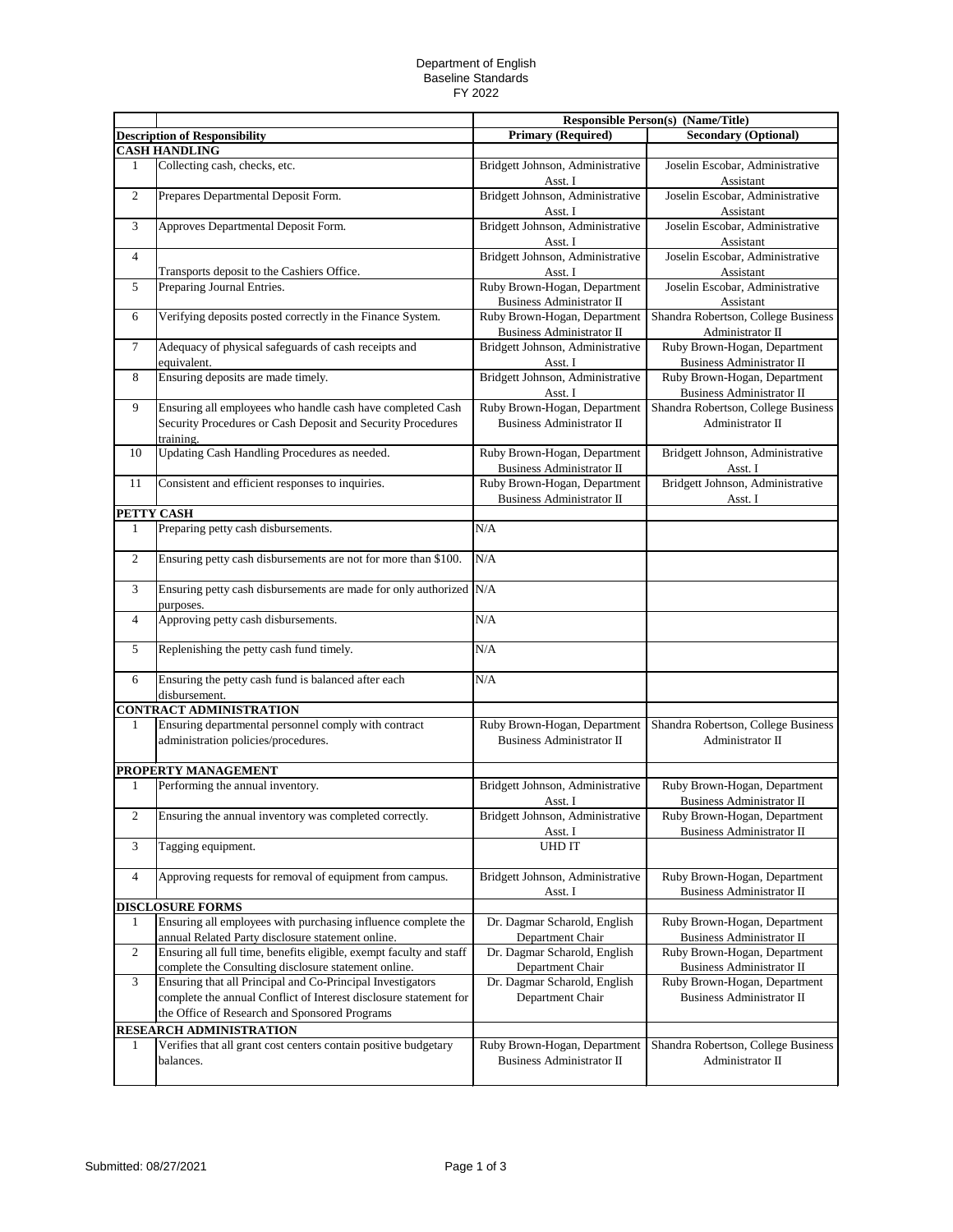## Department of English Baseline Standards FY 2022

|                |                                                                                                                                        |                                                                  | <b>Responsible Person(s) (Name/Title)</b>                        |
|----------------|----------------------------------------------------------------------------------------------------------------------------------------|------------------------------------------------------------------|------------------------------------------------------------------|
|                | <b>Description of Responsibility</b>                                                                                                   | <b>Primary (Required)</b>                                        | <b>Secondary (Optional)</b>                                      |
|                | <b>CASH HANDLING</b>                                                                                                                   |                                                                  |                                                                  |
| 1              | Collecting cash, checks, etc.                                                                                                          | Bridgett Johnson, Administrative<br>Asst. I                      | Joselin Escobar, Administrative<br>Assistant                     |
| $\overline{c}$ | Prepares Departmental Deposit Form.                                                                                                    | Bridgett Johnson, Administrative<br>Asst. I                      | Joselin Escobar, Administrative<br>Assistant                     |
| 3              | Approves Departmental Deposit Form.                                                                                                    | Bridgett Johnson, Administrative<br>Asst. I                      | Joselin Escobar, Administrative<br>Assistant                     |
| $\overline{4}$ | Transports deposit to the Cashiers Office.                                                                                             | Bridgett Johnson, Administrative<br>Asst. I                      | Joselin Escobar, Administrative<br>Assistant                     |
| 5              | Preparing Journal Entries.                                                                                                             | Ruby Brown-Hogan, Department<br><b>Business Administrator II</b> | Joselin Escobar, Administrative<br>Assistant                     |
| 6              | Verifying deposits posted correctly in the Finance System.                                                                             | Ruby Brown-Hogan, Department<br><b>Business Administrator II</b> | Shandra Robertson, College Business<br>Administrator II          |
| $\tau$         | Adequacy of physical safeguards of cash receipts and<br>equivalent.                                                                    | Bridgett Johnson, Administrative<br>Asst. I                      | Ruby Brown-Hogan, Department<br><b>Business Administrator II</b> |
| 8              | Ensuring deposits are made timely.                                                                                                     | Bridgett Johnson, Administrative<br>Asst. I                      | Ruby Brown-Hogan, Department<br>Business Administrator II        |
| 9              | Ensuring all employees who handle cash have completed Cash<br>Security Procedures or Cash Deposit and Security Procedures<br>training. | Ruby Brown-Hogan, Department<br><b>Business Administrator II</b> | Shandra Robertson, College Business<br>Administrator II          |
| 10             | Updating Cash Handling Procedures as needed.                                                                                           | Ruby Brown-Hogan, Department<br><b>Business Administrator II</b> | Bridgett Johnson, Administrative<br>Asst. I                      |
| 11             | Consistent and efficient responses to inquiries.                                                                                       | Ruby Brown-Hogan, Department<br><b>Business Administrator II</b> | Bridgett Johnson, Administrative<br>Asst. I                      |
|                | PETTY CASH                                                                                                                             |                                                                  |                                                                  |
| 1              | Preparing petty cash disbursements.                                                                                                    | N/A                                                              |                                                                  |
| $\sqrt{2}$     | Ensuring petty cash disbursements are not for more than \$100.                                                                         | N/A                                                              |                                                                  |
| 3              | Ensuring petty cash disbursements are made for only authorized N/A<br>purposes.                                                        |                                                                  |                                                                  |
| $\overline{4}$ | Approving petty cash disbursements.                                                                                                    | N/A                                                              |                                                                  |
| 5              | Replenishing the petty cash fund timely.                                                                                               | N/A                                                              |                                                                  |
| 6              | Ensuring the petty cash fund is balanced after each<br>disbursement.                                                                   | N/A                                                              |                                                                  |
|                | <b>CONTRACT ADMINISTRATION</b>                                                                                                         |                                                                  |                                                                  |
| 1              | Ensuring departmental personnel comply with contract<br>administration policies/procedures.                                            | Ruby Brown-Hogan, Department<br><b>Business Administrator II</b> | Shandra Robertson, College Business<br>Administrator II          |
|                | PROPERTY MANAGEMENT                                                                                                                    |                                                                  |                                                                  |
| 1              | Performing the annual inventory.                                                                                                       | Bridgett Johnson, Administrative<br>Asst. I                      | Ruby Brown-Hogan, Department<br><b>Business Administrator II</b> |
| $\overline{2}$ | Ensuring the annual inventory was completed correctly.                                                                                 | Bridgett Johnson, Administrative<br>Asst. I                      | Ruby Brown-Hogan, Department<br><b>Business Administrator II</b> |
| 3              | Tagging equipment.                                                                                                                     | <b>UHD IT</b>                                                    |                                                                  |
| $\overline{4}$ | Approving requests for removal of equipment from campus.                                                                               | Bridgett Johnson, Administrative<br>Asst. I                      | Ruby Brown-Hogan, Department<br><b>Business Administrator II</b> |
|                | <b>DISCLOSURE FORMS</b>                                                                                                                |                                                                  |                                                                  |
| 1              | Ensuring all employees with purchasing influence complete the                                                                          | Dr. Dagmar Scharold, English                                     | Ruby Brown-Hogan, Department                                     |
|                | annual Related Party disclosure statement online.                                                                                      | Department Chair                                                 | <b>Business Administrator II</b>                                 |
| $\overline{2}$ | Ensuring all full time, benefits eligible, exempt faculty and staff                                                                    | Dr. Dagmar Scharold, English                                     | Ruby Brown-Hogan, Department                                     |
|                | complete the Consulting disclosure statement online.                                                                                   | Department Chair                                                 | Business Administrator II                                        |
| 3              | Ensuring that all Principal and Co-Principal Investigators                                                                             | Dr. Dagmar Scharold, English                                     | Ruby Brown-Hogan, Department                                     |
|                | complete the annual Conflict of Interest disclosure statement for                                                                      | Department Chair                                                 | <b>Business Administrator II</b>                                 |
|                | the Office of Research and Sponsored Programs                                                                                          |                                                                  |                                                                  |
|                | <b>RESEARCH ADMINISTRATION</b>                                                                                                         |                                                                  |                                                                  |
| 1              | Verifies that all grant cost centers contain positive budgetary<br>balances.                                                           | Ruby Brown-Hogan, Department<br><b>Business Administrator II</b> | Shandra Robertson, College Business<br>Administrator II          |